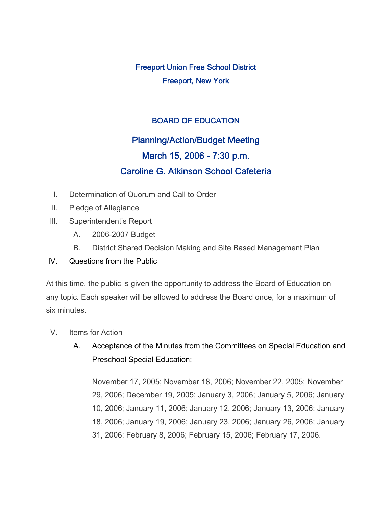Freeport Union Free School District Freeport, New York

## BOARD OF EDUCATION

## Planning/Action/Budget Meeting March 15, 2006 - 7:30 p.m. Caroline G. Atkinson School Cafeteria

- I. Determination of Quorum and Call to Order
- II. Pledge of Allegiance
- III. Superintendent's Report
	- A. 2006-2007 Budget
	- B. District Shared Decision Making and Site Based Management Plan
- IV. Questions from the Public

At this time, the public is given the opportunity to address the Board of Education on any topic. Each speaker will be allowed to address the Board once, for a maximum of six minutes.

- V. Items for Action
	- A. Acceptance of the Minutes from the Committees on Special Education and Preschool Special Education:

November 17, 2005; November 18, 2006; November 22, 2005; November 29, 2006; December 19, 2005; January 3, 2006; January 5, 2006; January 10, 2006; January 11, 2006; January 12, 2006; January 13, 2006; January 18, 2006; January 19, 2006; January 23, 2006; January 26, 2006; January 31, 2006; February 8, 2006; February 15, 2006; February 17, 2006.